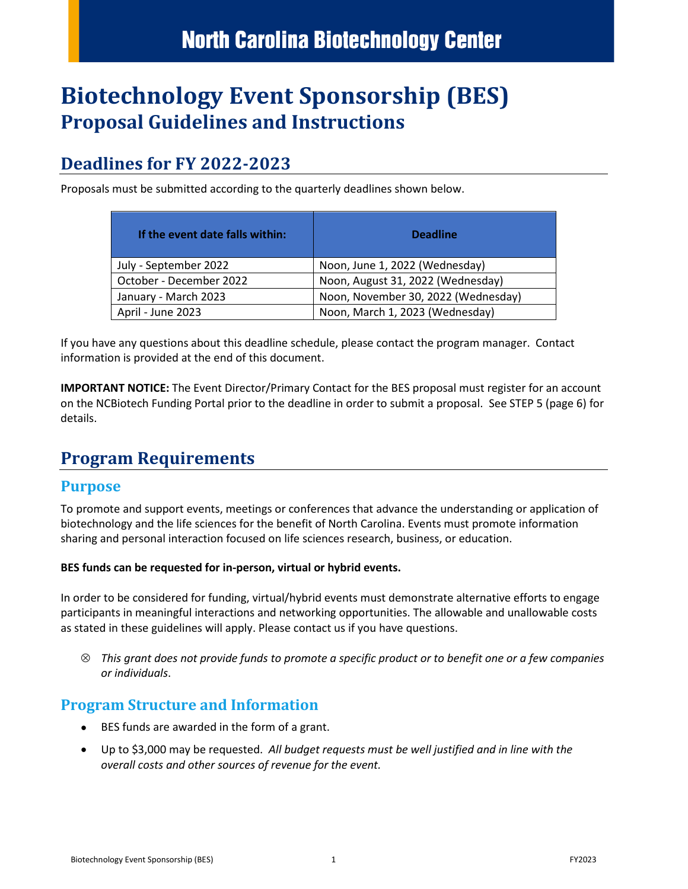# **Biotechnology Event Sponsorship (BES) Proposal Guidelines and Instructions**

# **Deadlines for FY 2022-2023**

Proposals must be submitted according to the quarterly deadlines shown below.

| If the event date falls within: | <b>Deadline</b>                     |
|---------------------------------|-------------------------------------|
| July - September 2022           | Noon, June 1, 2022 (Wednesday)      |
| October - December 2022         | Noon, August 31, 2022 (Wednesday)   |
| January - March 2023            | Noon, November 30, 2022 (Wednesday) |
| April - June 2023               | Noon, March 1, 2023 (Wednesday)     |

If you have any questions about this deadline schedule, please contact the program manager. Contact information is provided at the end of this document.

**IMPORTANT NOTICE:** The Event Director/Primary Contact for the BES proposal must register for an account on the NCBiotech Funding Portal prior to the deadline in order to submit a proposal. See STEP 5 (page 6) for details.

# **Program Requirements**

### **Purpose**

To promote and support events, meetings or conferences that advance the understanding or application of biotechnology and the life sciences for the benefit of North Carolina. Events must promote information sharing and personal interaction focused on life sciences research, business, or education.

#### **BES funds can be requested for in-person, virtual or hybrid events.**

In order to be considered for funding, virtual/hybrid events must demonstrate alternative efforts to engage participants in meaningful interactions and networking opportunities. The allowable and unallowable costs as stated in these guidelines will apply. Please contact us if you have questions.

⊗ *This grant does not provide funds to promote a specific product or to benefit one or a few companies or individuals*.

### **Program Structure and Information**

- BES funds are awarded in the form of a grant.
- Up to \$3,000 may be requested. *All budget requests must be well justified and in line with the overall costs and other sources of revenue for the event.*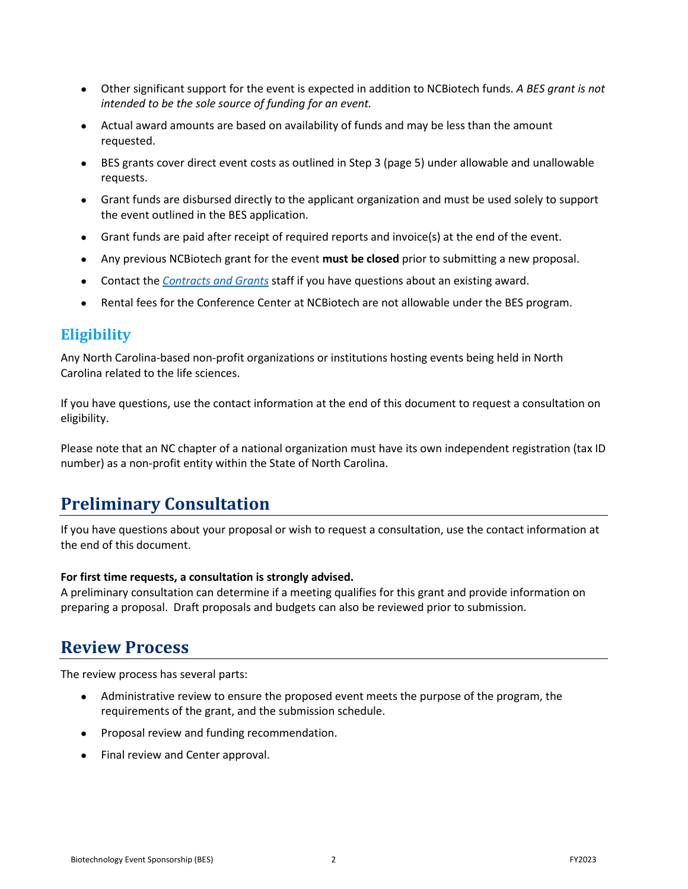- Other significant support for the event is expected in addition to NCBiotech funds. *A BES grant is not intended to be the sole source of funding for an event.*
- Actual award amounts are based on availability of funds and may be less than the amount requested.
- BES grants cover direct event costs as outlined in Step 3 (page 5) under allowable and unallowable requests.
- Grant funds are disbursed directly to the applicant organization and must be used solely to support the event outlined in the BES application.
- Grant funds are paid after receipt of required reports and invoice(s) at the end of the event.
- Any previous NCBiotech grant for the event **must be closed** prior to submitting a new proposal.
- Contact the *[Contracts and Grants](mailto:contracts_grants@ncbiotech.org)* staff if you have questions about an existing award.
- Rental fees for the Conference Center at NCBiotech are not allowable under the BES program.

### **Eligibility**

Any North Carolina-based non-profit organizations or institutions hosting events being held in North Carolina related to the life sciences.

If you have questions, use the contact information at the end of this document to request a consultation on eligibility.

Please note that an NC chapter of a national organization must have its own independent registration (tax ID number) as a non-profit entity within the State of North Carolina.

# **Preliminary Consultation**

If you have questions about your proposal or wish to request a consultation, use the contact information at the end of this document.

#### **For first time requests, a consultation is strongly advised.**

A preliminary consultation can determine if a meeting qualifies for this grant and provide information on preparing a proposal. Draft proposals and budgets can also be reviewed prior to submission.

### **Review Process**

The review process has several parts:

- Administrative review to ensure the proposed event meets the purpose of the program, the requirements of the grant, and the submission schedule.
- Proposal review and funding recommendation.
- Final review and Center approval.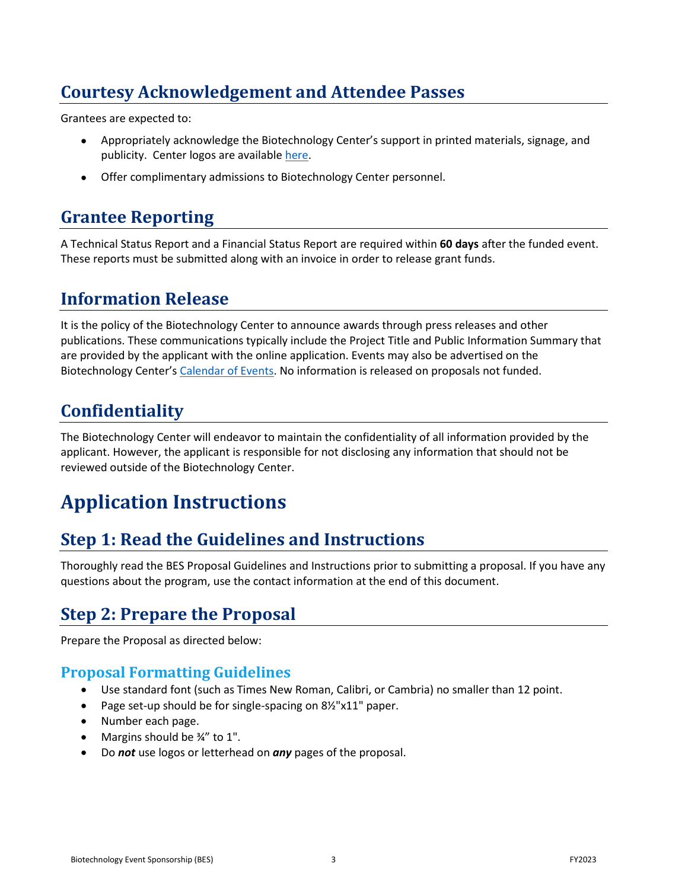# **Courtesy Acknowledgement and Attendee Passes**

Grantees are expected to:

- Appropriately acknowledge the Biotechnology Center's support in printed materials, signage, and publicity. Center logos are available [here.](https://www.ncbiotech.org/transforming-life-sciences/about-us/ncbiotech-logos-and-images)
- Offer complimentary admissions to Biotechnology Center personnel.

# **Grantee Reporting**

A Technical Status Report and a Financial Status Report are required within **60 days** after the funded event. These reports must be submitted along with an invoice in order to release grant funds.

## **Information Release**

It is the policy of the Biotechnology Center to announce awards through press releases and other publications. These communications typically include the Project Title and Public Information Summary that are provided by the applicant with the online application. Events may also be advertised on the Biotechnology Center's [Calendar of Events.](https://www.ncbiotech.org/events) No information is released on proposals not funded.

# **Confidentiality**

The Biotechnology Center will endeavor to maintain the confidentiality of all information provided by the applicant. However, the applicant is responsible for not disclosing any information that should not be reviewed outside of the Biotechnology Center.

# **Application Instructions**

# **Step 1: Read the Guidelines and Instructions**

Thoroughly read the BES Proposal Guidelines and Instructions prior to submitting a proposal. If you have any questions about the program, use the contact information at the end of this document.

# **Step 2: Prepare the Proposal**

Prepare the Proposal as directed below:

### **Proposal Formatting Guidelines**

- Use standard font (such as Times New Roman, Calibri, or Cambria) no smaller than 12 point.
- Page set-up should be for single-spacing on 8½"x11" paper.
- Number each page.
- Margins should be 3/4" to 1".
- Do *not* use logos or letterhead on *any* pages of the proposal.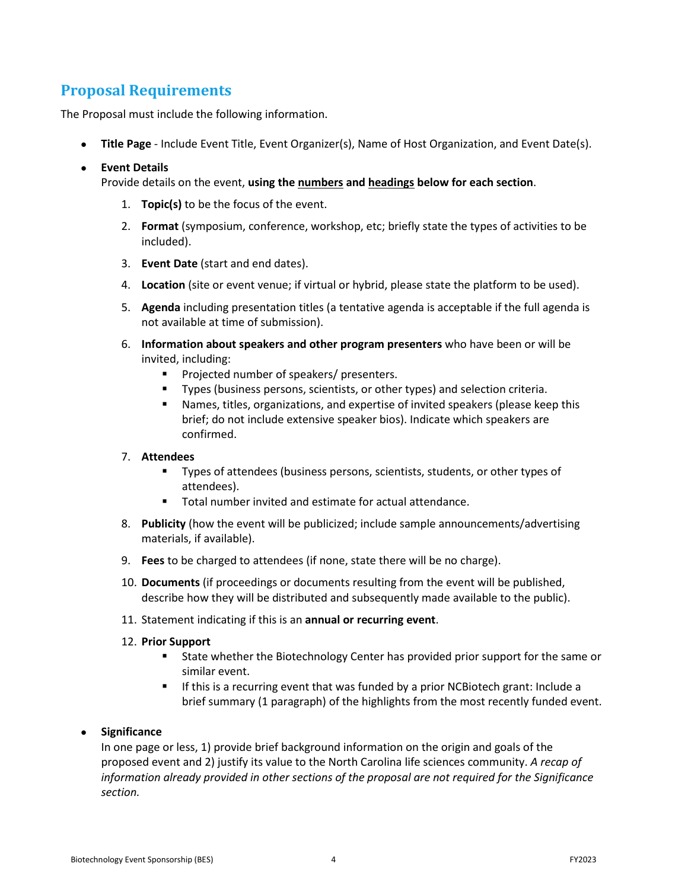### **Proposal Requirements**

The Proposal must include the following information.

• **Title Page** - Include Event Title, Event Organizer(s), Name of Host Organization, and Event Date(s).

#### • **Event Details**

Provide details on the event, **using the numbers and headings below for each section**.

- 1. **Topic(s)** to be the focus of the event.
- 2. **Format** (symposium, conference, workshop, etc; briefly state the types of activities to be included).
- 3. **Event Date** (start and end dates).
- 4. **Location** (site or event venue; if virtual or hybrid, please state the platform to be used).
- 5. **Agenda** including presentation titles (a tentative agenda is acceptable if the full agenda is not available at time of submission).
- 6. **Information about speakers and other program presenters** who have been or will be invited, including:
	- **Projected number of speakers/ presenters.**
	- Types (business persons, scientists, or other types) and selection criteria.
	- Names, titles, organizations, and expertise of invited speakers (please keep this brief; do not include extensive speaker bios). Indicate which speakers are confirmed.

#### 7. **Attendees**

- Types of attendees (business persons, scientists, students, or other types of attendees).
- Total number invited and estimate for actual attendance.
- 8. **Publicity** (how the event will be publicized; include sample announcements/advertising materials, if available).
- 9. **Fees** to be charged to attendees (if none, state there will be no charge).
- 10. **Documents** (if proceedings or documents resulting from the event will be published, describe how they will be distributed and subsequently made available to the public).
- 11. Statement indicating if this is an **annual or recurring event**.

#### 12. **Prior Support**

- State whether the Biotechnology Center has provided prior support for the same or similar event.
- If this is a recurring event that was funded by a prior NCBiotech grant: Include a brief summary (1 paragraph) of the highlights from the most recently funded event.

#### • **Significance**

In one page or less, 1) provide brief background information on the origin and goals of the proposed event and 2) justify its value to the North Carolina life sciences community. *A recap of information already provided in other sections of the proposal are not required for the Significance section.*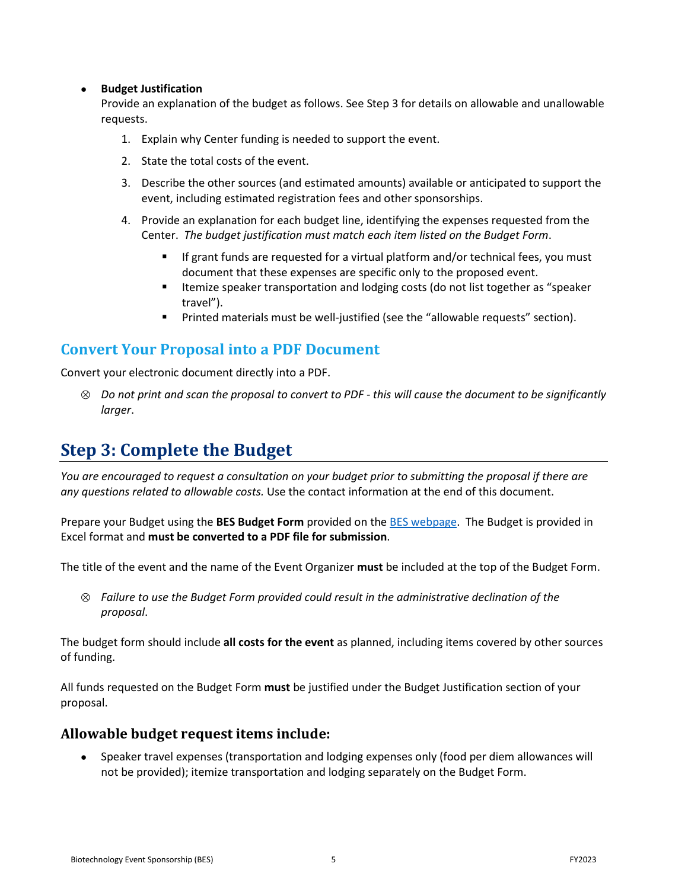#### • **Budget Justification**

Provide an explanation of the budget as follows. See Step 3 for details on allowable and unallowable requests.

- 1. Explain why Center funding is needed to support the event.
- 2. State the total costs of the event.
- 3. Describe the other sources (and estimated amounts) available or anticipated to support the event, including estimated registration fees and other sponsorships.
- 4. Provide an explanation for each budget line, identifying the expenses requested from the Center. *The budget justification must match each item listed on the Budget Form*.
	- If grant funds are requested for a virtual platform and/or technical fees, you must document that these expenses are specific only to the proposed event.
	- **ILEMIZE Speaker transportation and lodging costs (do not list together as "speaker** travel").
	- Printed materials must be well-justified (see the "allowable requests" section).

### **Convert Your Proposal into a PDF Document**

Convert your electronic document directly into a PDF.

⊗ *Do not print and scan the proposal to convert to PDF - this will cause the document to be significantly larger*.

# **Step 3: Complete the Budget**

*You are encouraged to request a consultation on your budget prior to submitting the proposal if there are any questions related to allowable costs.* Use the contact information at the end of this document.

Prepare your Budget using the **BES Budget Form** provided on the [BES webpage.](https://www.ncbiotech.org/funding/grants/biotechnology-event-sponsorship) The Budget is provided in Excel format and **must be converted to a PDF file for submission**.

The title of the event and the name of the Event Organizer **must** be included at the top of the Budget Form.

⊗ *Failure to use the Budget Form provided could result in the administrative declination of the proposal*.

The budget form should include **all costs for the event** as planned, including items covered by other sources of funding.

All funds requested on the Budget Form **must** be justified under the Budget Justification section of your proposal.

#### **Allowable budget request items include:**

• Speaker travel expenses (transportation and lodging expenses only (food per diem allowances will not be provided); itemize transportation and lodging separately on the Budget Form.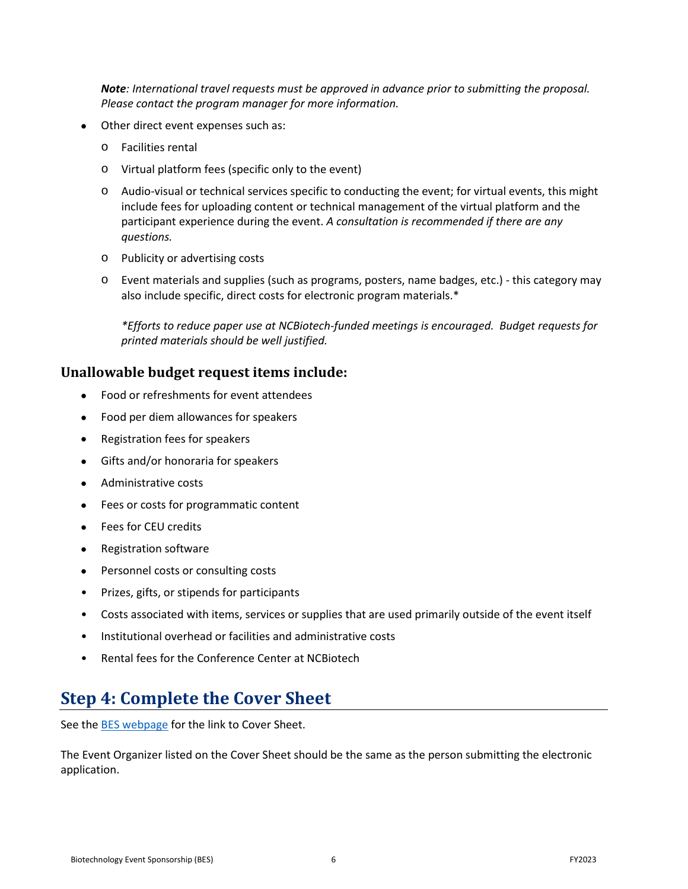*Note: International travel requests must be approved in advance prior to submitting the proposal. Please contact the program manager for more information.* 

- Other direct event expenses such as:
	- o Facilities rental
	- o Virtual platform fees (specific only to the event)
	- o Audio-visual or technical services specific to conducting the event; for virtual events, this might include fees for uploading content or technical management of the virtual platform and the participant experience during the event. *A consultation is recommended if there are any questions.*
	- o Publicity or advertising costs
	- o Event materials and supplies (such as programs, posters, name badges, etc.) this category may also include specific, direct costs for electronic program materials.\*

*\*Efforts to reduce paper use at NCBiotech-funded meetings is encouraged. Budget requests for printed materials should be well justified.*

#### **Unallowable budget request items include:**

- Food or refreshments for event attendees
- Food per diem allowances for speakers
- Registration fees for speakers
- Gifts and/or honoraria for speakers
- Administrative costs
- Fees or costs for programmatic content
- Fees for CEU credits
- Registration software
- Personnel costs or consulting costs
- Prizes, gifts, or stipends for participants
- Costs associated with items, services or supplies that are used primarily outside of the event itself
- Institutional overhead or facilities and administrative costs
- Rental fees for the Conference Center at NCBiotech

### **Step 4: Complete the Cover Sheet**

See the [BES webpage](https://www.ncbiotech.org/funding/grants/biotechnology-event-sponsorship) for the link to Cover Sheet.

The Event Organizer listed on the Cover Sheet should be the same as the person submitting the electronic application.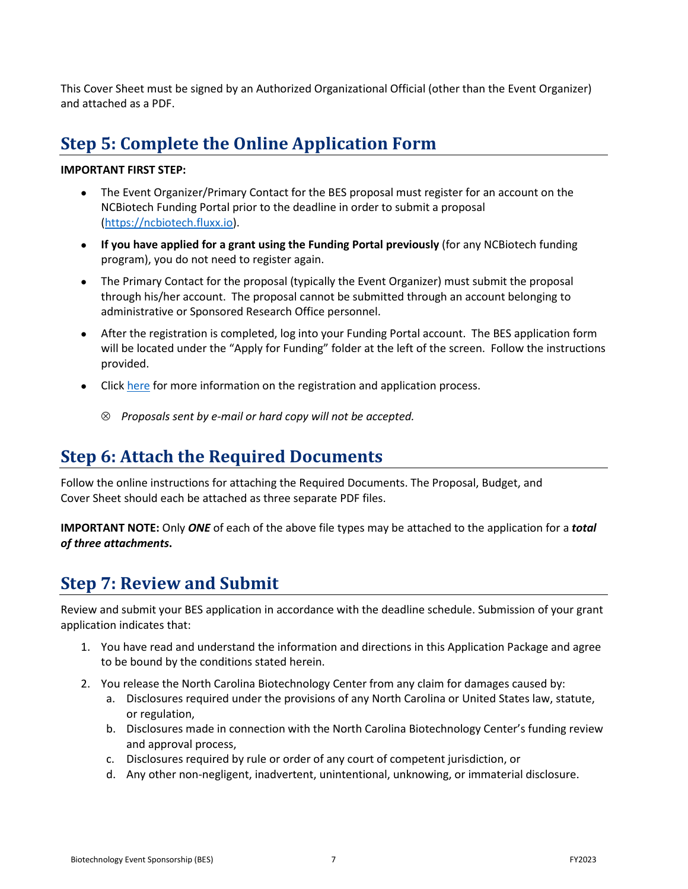This Cover Sheet must be signed by an Authorized Organizational Official (other than the Event Organizer) and attached as a PDF.

# **Step 5: Complete the Online Application Form**

#### **IMPORTANT FIRST STEP:**

- The Event Organizer/Primary Contact for the BES proposal must register for an account on the NCBiotech Funding Portal prior to the deadline in order to submit a proposal [\(https://ncbiotech.fluxx.io\)](https://ncbiotech.fluxx.io/).
- **If you have applied for a grant using the Funding Portal previously** (for any NCBiotech funding program), you do not need to register again.
- The Primary Contact for the proposal (typically the Event Organizer) must submit the proposal through his/her account. The proposal cannot be submitted through an account belonging to administrative or Sponsored Research Office personnel.
- After the registration is completed, log into your Funding Portal account. The BES application form will be located under the "Apply for Funding" folder at the left of the screen. Follow the instructions provided.
- Click [here](https://www.ncbiotech.org/funding/grants/grant-proposal-submission-instructions) for more information on the registration and application process.
	- ⊗ *Proposals sent by e-mail or hard copy will not be accepted.*

### **Step 6: Attach the Required Documents**

Follow the online instructions for attaching the Required Documents. The Proposal, Budget, and Cover Sheet should each be attached as three separate PDF files.

**IMPORTANT NOTE:** Only *ONE* of each of the above file types may be attached to the application for a *total of three attachments***.**

### **Step 7: Review and Submit**

Review and submit your BES application in accordance with the deadline schedule. Submission of your grant application indicates that:

- 1. You have read and understand the information and directions in this Application Package and agree to be bound by the conditions stated herein.
- 2. You release the North Carolina Biotechnology Center from any claim for damages caused by:
	- a. Disclosures required under the provisions of any North Carolina or United States law, statute, or regulation,
	- b. Disclosures made in connection with the North Carolina Biotechnology Center's funding review and approval process,
	- c. Disclosures required by rule or order of any court of competent jurisdiction, or
	- d. Any other non-negligent, inadvertent, unintentional, unknowing, or immaterial disclosure.